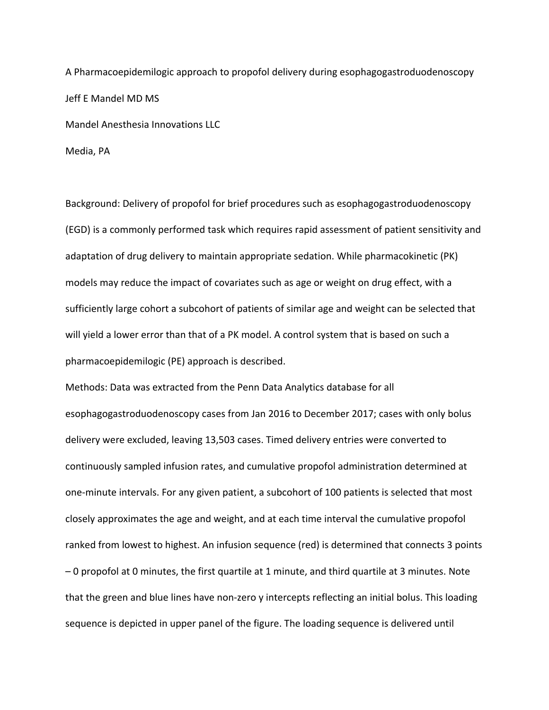A Pharmacoepidemilogic approach to propofol delivery during esophagogastroduodenoscopy Jeff E Mandel MD MS Mandel Anesthesia Innovations LLC

Media, PA

Background: Delivery of propofol for brief procedures such as esophagogastroduodenoscopy (EGD) is a commonly performed task which requires rapid assessment of patient sensitivity and adaptation of drug delivery to maintain appropriate sedation. While pharmacokinetic (PK) models may reduce the impact of covariates such as age or weight on drug effect, with a sufficiently large cohort a subcohort of patients of similar age and weight can be selected that will yield a lower error than that of a PK model. A control system that is based on such a pharmacoepidemilogic (PE) approach is described.

Methods: Data was extracted from the Penn Data Analytics database for all esophagogastroduodenoscopy cases from Jan 2016 to December 2017; cases with only bolus delivery were excluded, leaving 13,503 cases. Timed delivery entries were converted to continuously sampled infusion rates, and cumulative propofol administration determined at one-minute intervals. For any given patient, a subcohort of 100 patients is selected that most closely approximates the age and weight, and at each time interval the cumulative propofol ranked from lowest to highest. An infusion sequence (red) is determined that connects 3 points – 0 propofol at 0 minutes, the first quartile at 1 minute, and third quartile at 3 minutes. Note that the green and blue lines have non-zero y intercepts reflecting an initial bolus. This loading sequence is depicted in upper panel of the figure. The loading sequence is delivered until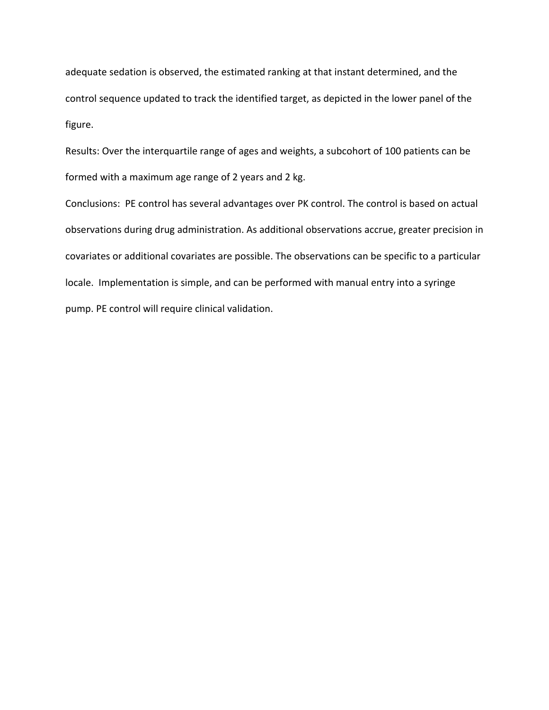adequate sedation is observed, the estimated ranking at that instant determined, and the control sequence updated to track the identified target, as depicted in the lower panel of the figure.

Results: Over the interquartile range of ages and weights, a subcohort of 100 patients can be formed with a maximum age range of 2 years and 2 kg.

Conclusions: PE control has several advantages over PK control. The control is based on actual observations during drug administration. As additional observations accrue, greater precision in covariates or additional covariates are possible. The observations can be specific to a particular locale. Implementation is simple, and can be performed with manual entry into a syringe pump. PE control will require clinical validation.